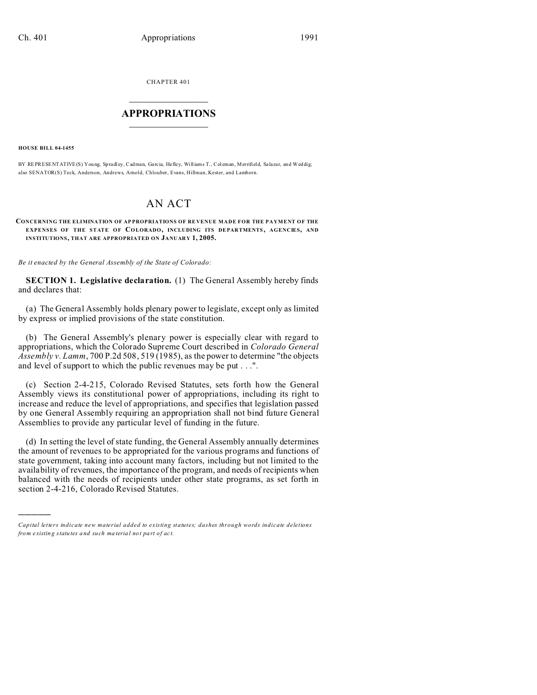CHAPTER 401  $\overline{\phantom{a}}$  , where  $\overline{\phantom{a}}$ 

## **APPROPRIATIONS**  $\_$   $\_$   $\_$   $\_$   $\_$   $\_$   $\_$   $\_$

**HOUSE BILL 04-1455**

)))))

BY REPRESENTATIVE(S) You ng, Spradl ey, Cadman, Garcia, Hefley, Williams T., Col eman, Merrifield, Salazar, and Weddig; also SENATOR(S) Teck, Anderson, Andrews, Arnold, Chlouber, Evans, Hillman, Kester, and Lamborn.

## AN ACT

## **CONCERNING THE ELIMINATION OF AP PROPRIATIONS OF RE VENUE MADE FOR THE PAYMENT OF THE EXPENSES OF THE STATE OF COLORADO, INCLUDING ITS DEPAR TMENTS , AGENCIES, AND INSTITUTIONS, THAT ARE APPROPRIATED ON JANUARY 1, 2005.**

*Be it enacted by the General Assembly of the State of Colorado:*

**SECTION 1. Legislative declaration.** (1) The General Assembly hereby finds and declares that:

(a) The General Assembly holds plenary power to legislate, except only as limited by express or implied provisions of the state constitution.

(b) The General Assembly's plenary power is especially clear with regard to appropriations, which the Colorado Supreme Court described in *Colorado General Assembly v. Lamm*, 700 P.2d 508, 519 (1985), as the power to determine "the objects and level of support to which the public revenues may be put . . .".

(c) Section 2-4-215, Colorado Revised Statutes, sets forth how the General Assembly views its constitutional power of appropriations, including its right to increase and reduce the level of appropriations, and specifies that legislation passed by one General Assembly requiring an appropriation shall not bind future General Assemblies to provide any particular level of funding in the future.

(d) In setting the level of state funding, the General Assembly annually determines the amount of revenues to be appropriated for the various programs and functions of state government, taking into account many factors, including but not limited to the availability of revenues, the importance of the program, and needs of recipients when balanced with the needs of recipients under other state programs, as set forth in section 2-4-216, Colorado Revised Statutes.

*Capital letters indicate new material added to existing statutes; dashes through words indicate deletions from e xistin g statu tes a nd such ma teria l no t pa rt of ac t.*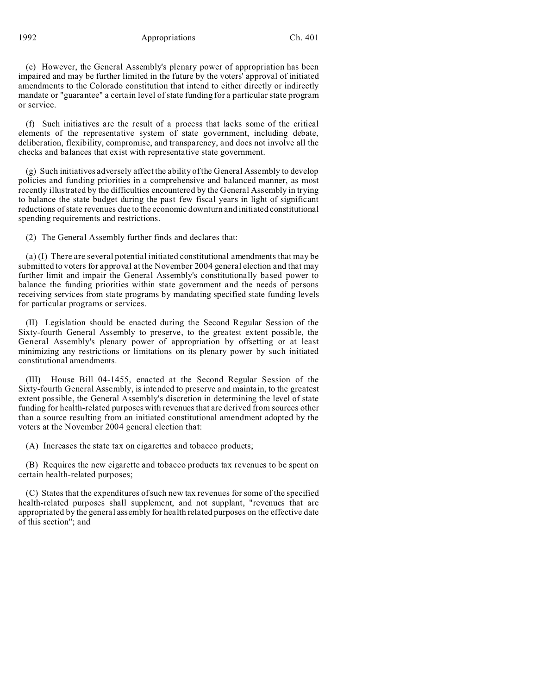1992 Appropriations Ch. 401

(e) However, the General Assembly's plenary power of appropriation has been impaired and may be further limited in the future by the voters' approval of initiated amendments to the Colorado constitution that intend to either directly or indirectly mandate or "guarantee" a certain level of state funding for a particular state program or service.

(f) Such initiatives are the result of a process that lacks some of the critical elements of the representative system of state government, including debate, deliberation, flexibility, compromise, and transparency, and does not involve all the checks and balances that exist with representative state government.

(g) Such initiatives adversely affect the ability of the General Assembly to develop policies and funding priorities in a comprehensive and balanced manner, as most recently illustrated by the difficulties encountered by the General Assembly in trying to balance the state budget during the past few fiscal years in light of significant reductions of state revenues due to the economic downturn and initiated constitutional spending requirements and restrictions.

(2) The General Assembly further finds and declares that:

(a) (I) There are several potential initiated constitutional amendments that may be submitted to voters for approval at the November 2004 general election and that may further limit and impair the General Assembly's constitutionally based power to balance the funding priorities within state government and the needs of persons receiving services from state programs by mandating specified state funding levels for particular programs or services.

(II) Legislation should be enacted during the Second Regular Session of the Sixty-fourth General Assembly to preserve, to the greatest extent possible, the General Assembly's plenary power of appropriation by offsetting or at least minimizing any restrictions or limitations on its plenary power by such initiated constitutional amendments.

(III) House Bill 04-1455, enacted at the Second Regular Session of the Sixty-fourth General Assembly, is intended to preserve and maintain, to the greatest extent possible, the General Assembly's discretion in determining the level of state funding for health-related purposes with revenues that are derived from sources other than a source resulting from an initiated constitutional amendment adopted by the voters at the November 2004 general election that:

(A) Increases the state tax on cigarettes and tobacco products;

(B) Requires the new cigarette and tobacco products tax revenues to be spent on certain health-related purposes;

(C) States that the expenditures of such new tax revenues for some of the specified health-related purposes shall supplement, and not supplant, "revenues that are appropriated by the general assembly for health related purposes on the effective date of this section"; and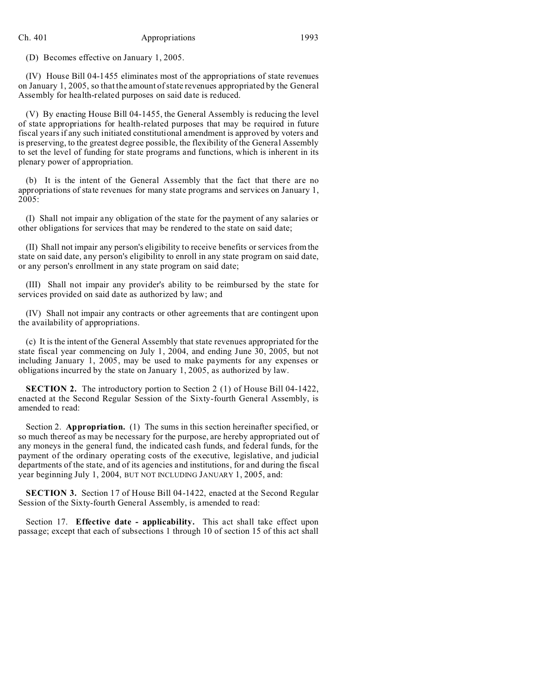(D) Becomes effective on January 1, 2005.

(IV) House Bill 04-1455 eliminates most of the appropriations of state revenues on January 1, 2005, so that the amount of state revenues appropriated by the General Assembly for health-related purposes on said date is reduced.

(V) By enacting House Bill 04-1455, the General Assembly is reducing the level of state appropriations for health-related purposes that may be required in future fiscal years if any such initiated constitutional amendment is approved by voters and is preserving, to the greatest degree possible, the flexibility of the General Assembly to set the level of funding for state programs and functions, which is inherent in its plenary power of appropriation.

(b) It is the intent of the General Assembly that the fact that there are no appropriations of state revenues for many state programs and services on January 1, 2005:

(I) Shall not impair any obligation of the state for the payment of any salaries or other obligations for services that may be rendered to the state on said date;

(II) Shall not impair any person's eligibility to receive benefits or services from the state on said date, any person's eligibility to enroll in any state program on said date, or any person's enrollment in any state program on said date;

(III) Shall not impair any provider's ability to be reimbursed by the state for services provided on said date as authorized by law; and

(IV) Shall not impair any contracts or other agreements that are contingent upon the availability of appropriations.

(c) It is the intent of the General Assembly that state revenues appropriated for the state fiscal year commencing on July 1, 2004, and ending June 30, 2005, but not including January 1, 2005, may be used to make payments for any expenses or obligations incurred by the state on January 1, 2005, as authorized by law.

**SECTION 2.** The introductory portion to Section 2 (1) of House Bill 04-1422, enacted at the Second Regular Session of the Sixty-fourth General Assembly, is amended to read:

Section 2. **Appropriation.** (1) The sums in this section hereinafter specified, or so much thereof as may be necessary for the purpose, are hereby appropriated out of any moneys in the general fund, the indicated cash funds, and federal funds, for the payment of the ordinary operating costs of the executive, legislative, and judicial departments of the state, and of its agencies and institutions, for and during the fiscal year beginning July 1, 2004, BUT NOT INCLUDING JANUARY 1, 2005, and:

**SECTION 3.** Section 17 of House Bill 04-1422, enacted at the Second Regular Session of the Sixty-fourth General Assembly, is amended to read:

Section 17. **Effective date - applicability.** This act shall take effect upon passage; except that each of subsections 1 through 10 of section 15 of this act shall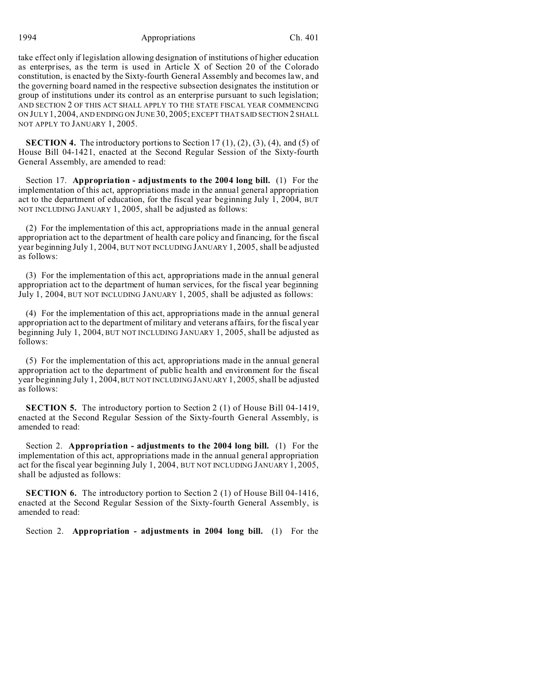1994 Appropriations Ch. 401

take effect only if legislation allowing designation of institutions of higher education as enterprises, as the term is used in Article X of Section 20 of the Colorado constitution, is enacted by the Sixty-fourth General Assembly and becomes law, and the governing board named in the respective subsection designates the institution or group of institutions under its control as an enterprise pursuant to such legislation; AND SECTION 2 OF THIS ACT SHALL APPLY TO THE STATE FISCAL YEAR COMMENCING ON JULY 1, 2004, AND ENDING ON JUNE 30, 2005; EXCEPT THAT SAID SECTION 2 SHALL NOT APPLY TO JANUARY 1, 2005.

**SECTION 4.** The introductory portions to Section  $17(1)$ ,  $(2)$ ,  $(3)$ ,  $(4)$ , and  $(5)$  of House Bill 04-1421, enacted at the Second Regular Session of the Sixty-fourth General Assembly, are amended to read:

Section 17. **Appropriation - adjustments to the 2004 long bill.** (1) For the implementation of this act, appropriations made in the annual general appropriation act to the department of education, for the fiscal year beginning July 1, 2004, BUT NOT INCLUDING JANUARY 1, 2005, shall be adjusted as follows:

(2) For the implementation of this act, appropriations made in the annual general appropriation act to the department of health care policy and financing, for the fiscal year beginning July 1, 2004, BUT NOT INCLUDING JANUARY 1, 2005, shall be adjusted as follows:

(3) For the implementation of this act, appropriations made in the annual general appropriation act to the department of human services, for the fiscal year beginning July 1, 2004, BUT NOT INCLUDING JANUARY 1, 2005, shall be adjusted as follows:

(4) For the implementation of this act, appropriations made in the annual general appropriation act to the department of military and veterans affairs, for the fiscal year beginning July 1, 2004, BUT NOT INCLUDING JANUARY 1, 2005, shall be adjusted as follows:

(5) For the implementation of this act, appropriations made in the annual general appropriation act to the department of public health and environment for the fiscal year beginning July 1, 2004, BUT NOT INCLUDING JANUARY 1, 2005, shall be adjusted as follows:

**SECTION 5.** The introductory portion to Section 2 (1) of House Bill 04-1419, enacted at the Second Regular Session of the Sixty-fourth General Assembly, is amended to read:

Section 2. **Appropriation - adjustments to the 2004 long bill.** (1) For the implementation of this act, appropriations made in the annual general appropriation act for the fiscal year beginning July 1, 2004, BUT NOT INCLUDING JANUARY 1, 2005, shall be adjusted as follows:

**SECTION 6.** The introductory portion to Section 2 (1) of House Bill 04-1416, enacted at the Second Regular Session of the Sixty-fourth General Assembly, is amended to read:

Section 2. **Appropriation - adjustments in 2004 long bill.** (1) For the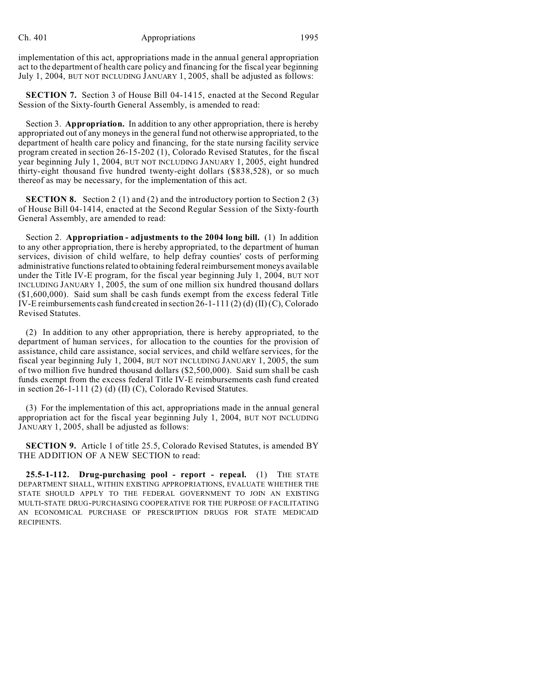implementation of this act, appropriations made in the annual general appropriation act to the department of health care policy and financing for the fiscal year beginning July 1, 2004, BUT NOT INCLUDING JANUARY 1, 2005, shall be adjusted as follows:

**SECTION 7.** Section 3 of House Bill 04-1415, enacted at the Second Regular Session of the Sixty-fourth General Assembly, is amended to read:

Section 3. **Appropriation.** In addition to any other appropriation, there is hereby appropriated out of any moneys in the general fund not otherwise appropriated, to the department of health care policy and financing, for the state nursing facility service program created in section 26-15-202 (1), Colorado Revised Statutes, for the fiscal year beginning July 1, 2004, BUT NOT INCLUDING JANUARY 1, 2005, eight hundred thirty-eight thousand five hundred twenty-eight dollars (\$838,528), or so much thereof as may be necessary, for the implementation of this act.

**SECTION 8.** Section 2 (1) and (2) and the introductory portion to Section 2 (3) of House Bill 04-1414, enacted at the Second Regular Session of the Sixty-fourth General Assembly, are amended to read:

Section 2. **Appropriation - adjustments to the 2004 long bill.** (1) In addition to any other appropriation, there is hereby appropriated, to the department of human services, division of child welfare, to help defray counties' costs of performing administrative functions related to obtaining federal reimbursement moneys available under the Title IV-E program, for the fiscal year beginning July 1, 2004, BUT NOT INCLUDING JANUARY 1, 2005, the sum of one million six hundred thousand dollars (\$1,600,000). Said sum shall be cash funds exempt from the excess federal Title IV-E reimbursements cash fund created in section 26-1-111 (2) (d) (II) (C), Colorado Revised Statutes.

(2) In addition to any other appropriation, there is hereby appropriated, to the department of human services, for allocation to the counties for the provision of assistance, child care assistance, social services, and child welfare services, for the fiscal year beginning July 1, 2004, BUT NOT INCLUDING JANUARY 1, 2005, the sum of two million five hundred thousand dollars (\$2,500,000). Said sum shall be cash funds exempt from the excess federal Title IV-E reimbursements cash fund created in section 26-1-111 (2) (d) (II) (C), Colorado Revised Statutes.

(3) For the implementation of this act, appropriations made in the annual general appropriation act for the fiscal year beginning July 1, 2004, BUT NOT INCLUDING JANUARY 1, 2005, shall be adjusted as follows:

**SECTION 9.** Article 1 of title 25.5, Colorado Revised Statutes, is amended BY THE ADDITION OF A NEW SECTION to read:

**25.5-1-112. Drug-purchasing pool - report - repeal.** (1) THE STATE DEPARTMENT SHALL, WITHIN EXISTING APPROPRIATIONS, EVALUATE WHETHER THE STATE SHOULD APPLY TO THE FEDERAL GOVERNMENT TO JOIN AN EXISTING MULTI-STATE DRUG-PURCHASING COOPERATIVE FOR THE PURPOSE OF FACILITATING AN ECONOMICAL PURCHASE OF PRESCRIPTION DRUGS FOR STATE MEDICAID RECIPIENTS.